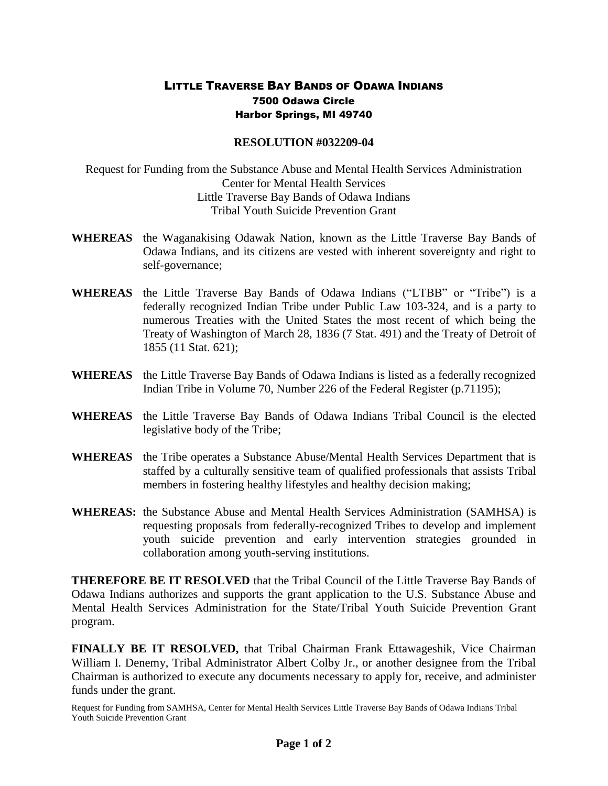## LITTLE TRAVERSE BAY BANDS OF ODAWA INDIANS 7500 Odawa Circle Harbor Springs, MI 49740

## **RESOLUTION #032209-04**

Request for Funding from the Substance Abuse and Mental Health Services Administration Center for Mental Health Services Little Traverse Bay Bands of Odawa Indians Tribal Youth Suicide Prevention Grant

- **WHEREAS** the Waganakising Odawak Nation, known as the Little Traverse Bay Bands of Odawa Indians, and its citizens are vested with inherent sovereignty and right to self-governance;
- **WHEREAS** the Little Traverse Bay Bands of Odawa Indians ("LTBB" or "Tribe") is a federally recognized Indian Tribe under Public Law 103-324, and is a party to numerous Treaties with the United States the most recent of which being the Treaty of Washington of March 28, 1836 (7 Stat. 491) and the Treaty of Detroit of 1855 (11 Stat. 621);
- **WHEREAS** the Little Traverse Bay Bands of Odawa Indians is listed as a federally recognized Indian Tribe in Volume 70, Number 226 of the Federal Register (p.71195);
- **WHEREAS** the Little Traverse Bay Bands of Odawa Indians Tribal Council is the elected legislative body of the Tribe;
- **WHEREAS** the Tribe operates a Substance Abuse/Mental Health Services Department that is staffed by a culturally sensitive team of qualified professionals that assists Tribal members in fostering healthy lifestyles and healthy decision making;
- **WHEREAS:** the Substance Abuse and Mental Health Services Administration (SAMHSA) is requesting proposals from federally-recognized Tribes to develop and implement youth suicide prevention and early intervention strategies grounded in collaboration among youth-serving institutions.

**THEREFORE BE IT RESOLVED** that the Tribal Council of the Little Traverse Bay Bands of Odawa Indians authorizes and supports the grant application to the U.S. Substance Abuse and Mental Health Services Administration for the State/Tribal Youth Suicide Prevention Grant program.

**FINALLY BE IT RESOLVED,** that Tribal Chairman Frank Ettawageshik, Vice Chairman William I. Denemy, Tribal Administrator Albert Colby Jr., or another designee from the Tribal Chairman is authorized to execute any documents necessary to apply for, receive, and administer funds under the grant.

Request for Funding from SAMHSA, Center for Mental Health Services Little Traverse Bay Bands of Odawa Indians Tribal Youth Suicide Prevention Grant